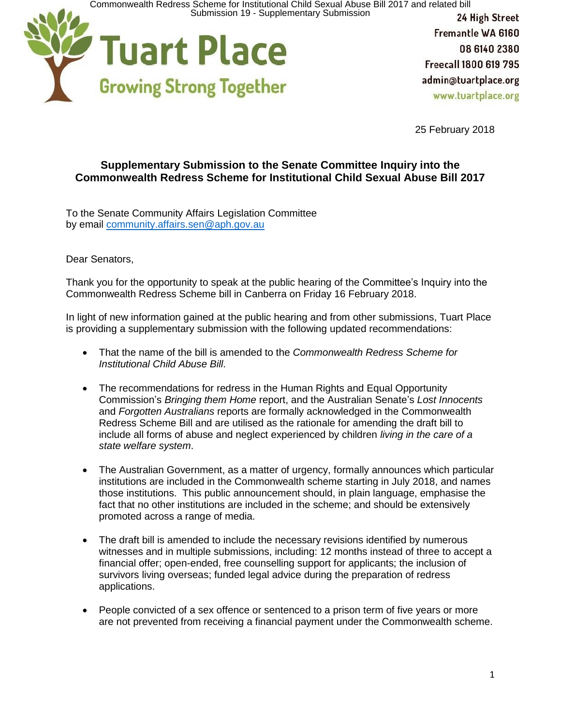Commonwealth Redress Scheme for Institutional Child Sexual Abuse Bill 2017 and related bill<br>Submission 19 - Supplementary Submission



Fremantle WA 6160 08 6140 2380 Freecall 1800 619 795 admin@tuartplace.org www.tuartplace.org

25 February 2018

## **Supplementary Submission to the Senate Committee Inquiry into the Commonwealth Redress Scheme for Institutional Child Sexual Abuse Bill 2017**

To the Senate Community Affairs Legislation Committee by email [community.affairs.sen@aph.gov.au](mailto:community.affairs.sen@aph.gov.au)

## Dear Senators,

Thank you for the opportunity to speak at the public hearing of the Committee's Inquiry into the Commonwealth Redress Scheme bill in Canberra on Friday 16 February 2018.

In light of new information gained at the public hearing and from other submissions, Tuart Place is providing a supplementary submission with the following updated recommendations:

- That the name of the bill is amended to the *Commonwealth Redress Scheme for Institutional Child Abuse Bill*.
- The recommendations for redress in the Human Rights and Equal Opportunity Commission's *Bringing them Home* report, and the Australian Senate's *Lost Innocents* and *Forgotten Australians* reports are formally acknowledged in the Commonwealth Redress Scheme Bill and are utilised as the rationale for amending the draft bill to include all forms of abuse and neglect experienced by children *living in the care of a state welfare system*.
- The Australian Government, as a matter of urgency, formally announces which particular institutions are included in the Commonwealth scheme starting in July 2018, and names those institutions. This public announcement should, in plain language, emphasise the fact that no other institutions are included in the scheme; and should be extensively promoted across a range of media.
- The draft bill is amended to include the necessary revisions identified by numerous witnesses and in multiple submissions, including: 12 months instead of three to accept a financial offer; open-ended, free counselling support for applicants; the inclusion of survivors living overseas; funded legal advice during the preparation of redress applications.
- People convicted of a sex offence or sentenced to a prison term of five years or more are not prevented from receiving a financial payment under the Commonwealth scheme.